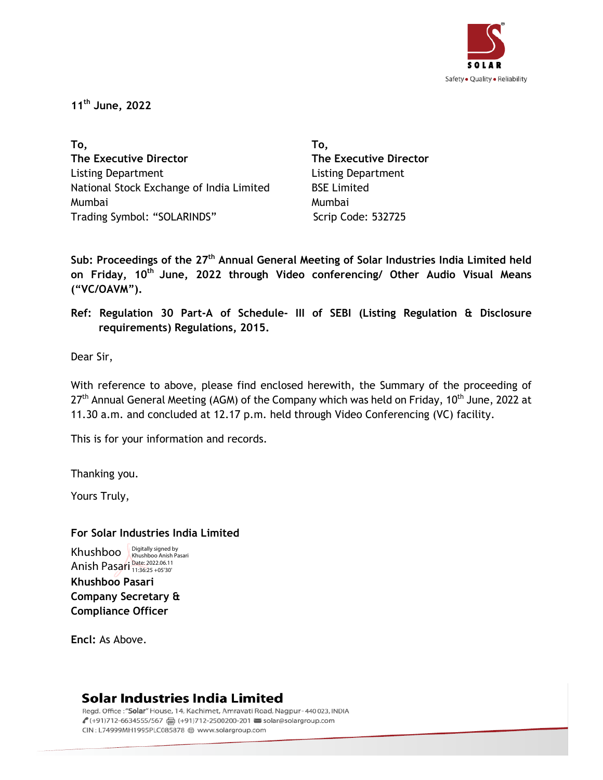

**11 th June, 2022**

**To, The Executive Director**  Listing Department National Stock Exchange of India Limited Mumbai Trading Symbol: "SOLARINDS" Scrip Code: 532725

**To, The Executive Director** Listing Department BSE Limited Mumbai

**Sub: Proceedings of the 27 th Annual General Meeting of Solar Industries India Limited held on Friday, 10th June, 2022 through Video conferencing/ Other Audio Visual Means ("VC/OAVM").**

**Ref: Regulation 30 Part-A of Schedule- III of SEBI (Listing Regulation & Disclosure requirements) Regulations, 2015.**

Dear Sir,

With reference to above, please find enclosed herewith, the Summary of the proceeding of 27<sup>th</sup> Annual General Meeting (AGM) of the Company which was held on Friday, 10<sup>th</sup> June, 2022 at 11.30 a.m. and concluded at 12.17 p.m. held through Video Conferencing (VC) facility.

This is for your information and records.

Thanking you.

Yours Truly,

**For Solar Industries India Limited**

**Khushboo Pasari Company Secretary & Compliance Officer** Khushboo Khushboo Anish Pasari Anish Pasari <sup>Date: 2022.06.11</sup>

**Encl:** As Above.

## Solar Industries India Limited

Regd. Office: "Solar" House, 14, Kachimet, Amravati Road, Nagpur-440023, INDIA € (+91)712-6634555/567 2 (+91)712-2500200-201 solar@solargroup.com CIN: L74999MH1995PLC085878 @ www.solargroup.com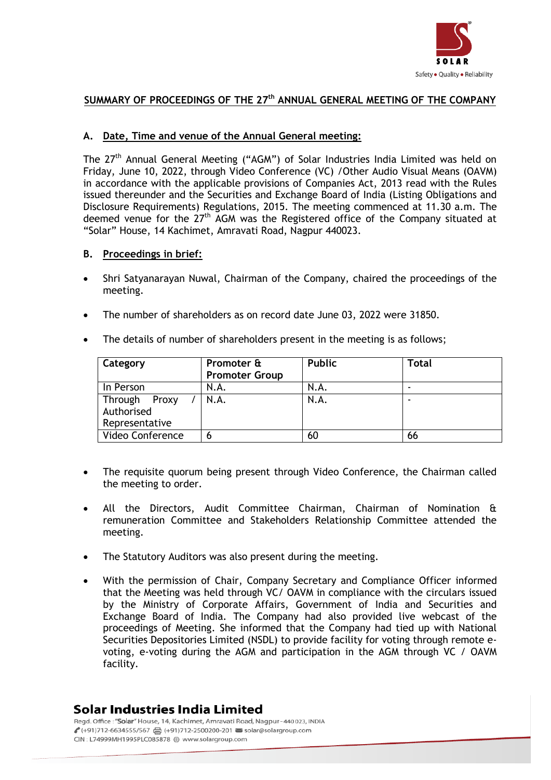

### **SUMMARY OF PROCEEDINGS OF THE 27 th ANNUAL GENERAL MEETING OF THE COMPANY**

#### **A. Date, Time and venue of the Annual General meeting:**

The 27<sup>th</sup> Annual General Meeting ("AGM") of Solar Industries India Limited was held on Friday, June 10, 2022, through Video Conference (VC) /Other Audio Visual Means (OAVM) in accordance with the applicable provisions of Companies Act, 2013 read with the Rules issued thereunder and the Securities and Exchange Board of India (Listing Obligations and Disclosure Requirements) Regulations, 2015. The meeting commenced at 11.30 a.m. The deemed venue for the  $27<sup>th</sup>$  AGM was the Registered office of the Company situated at "Solar" House, 14 Kachimet, Amravati Road, Nagpur 440023.

#### **B. Proceedings in brief:**

- Shri Satyanarayan Nuwal, Chairman of the Company, chaired the proceedings of the meeting.
- The number of shareholders as on record date June 03, 2022 were 31850.
- The details of number of shareholders present in the meeting is as follows;

| Category                                      | Promoter &<br><b>Promoter Group</b> | <b>Public</b> | Total |
|-----------------------------------------------|-------------------------------------|---------------|-------|
| In Person                                     | N.A.                                | N.A.          |       |
| Through Proxy<br>Authorised<br>Representative | N.A.                                | N.A.          |       |
| Video Conference                              | 6                                   | 60            | 66    |

- The requisite quorum being present through Video Conference, the Chairman called the meeting to order.
- All the Directors, Audit Committee Chairman, Chairman of Nomination & remuneration Committee and Stakeholders Relationship Committee attended the meeting.
- The Statutory Auditors was also present during the meeting.
- With the permission of Chair, Company Secretary and Compliance Officer informed that the Meeting was held through VC/ OAVM in compliance with the circulars issued by the Ministry of Corporate Affairs, Government of India and Securities and Exchange Board of India. The Company had also provided live webcast of the proceedings of Meeting. She informed that the Company had tied up with National Securities Depositories Limited (NSDL) to provide facility for voting through remote evoting, e-voting during the AGM and participation in the AGM through VC / OAVM facility.

## Solar Industries India Limited

Read. Office: "Solar" House, 14, Kachimet, Amrayati Road, Nagpur-440023, INDIA € (+91)712-6634555/567 2 (+91)712-2500200-201 solar@solargroup.com CIN: L74999MH1995PLC085878 @ www.solargroup.com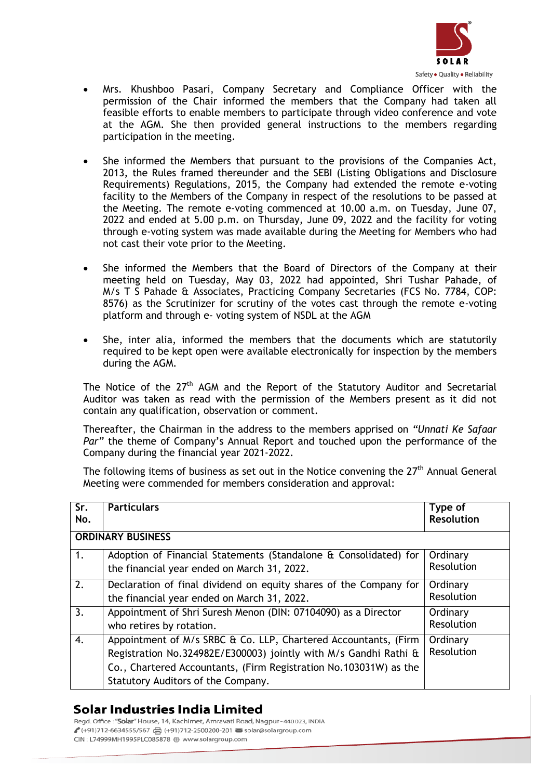

- Mrs. Khushboo Pasari, Company Secretary and Compliance Officer with the permission of the Chair informed the members that the Company had taken all feasible efforts to enable members to participate through video conference and vote at the AGM. She then provided general instructions to the members regarding participation in the meeting.
- She informed the Members that pursuant to the provisions of the Companies Act, 2013, the Rules framed thereunder and the SEBI (Listing Obligations and Disclosure Requirements) Regulations, 2015, the Company had extended the remote e-voting facility to the Members of the Company in respect of the resolutions to be passed at the Meeting. The remote e-voting commenced at 10.00 a.m. on Tuesday, June 07, 2022 and ended at 5.00 p.m. on Thursday, June 09, 2022 and the facility for voting through e-voting system was made available during the Meeting for Members who had not cast their vote prior to the Meeting.
- She informed the Members that the Board of Directors of the Company at their meeting held on Tuesday, May 03, 2022 had appointed, Shri Tushar Pahade, of M/s T S Pahade & Associates, Practicing Company Secretaries (FCS No. 7784, COP: 8576) as the Scrutinizer for scrutiny of the votes cast through the remote e-voting platform and through e- voting system of NSDL at the AGM
- She, inter alia, informed the members that the documents which are statutorily required to be kept open were available electronically for inspection by the members during the AGM.

The Notice of the  $27<sup>th</sup>$  AGM and the Report of the Statutory Auditor and Secretarial Auditor was taken as read with the permission of the Members present as it did not contain any qualification, observation or comment.

Thereafter, the Chairman in the address to the members apprised on *"Unnati Ke Safaar Par"* the theme of Company's Annual Report and touched upon the performance of the Company during the financial year 2021-2022.

The following items of business as set out in the Notice convening the  $27<sup>th</sup>$  Annual General Meeting were commended for members consideration and approval:

| Sr.<br>No.               | <b>Particulars</b>                                                                                                                                                                                                                             | Type of<br><b>Resolution</b> |  |  |
|--------------------------|------------------------------------------------------------------------------------------------------------------------------------------------------------------------------------------------------------------------------------------------|------------------------------|--|--|
| <b>ORDINARY BUSINESS</b> |                                                                                                                                                                                                                                                |                              |  |  |
| 1.                       | Adoption of Financial Statements (Standalone & Consolidated) for<br>the financial year ended on March 31, 2022.                                                                                                                                | Ordinary<br>Resolution       |  |  |
| 2.                       | Declaration of final dividend on equity shares of the Company for<br>the financial year ended on March 31, 2022.                                                                                                                               | Ordinary<br>Resolution       |  |  |
| 3.                       | Appointment of Shri Suresh Menon (DIN: 07104090) as a Director<br>who retires by rotation.                                                                                                                                                     | Ordinary<br>Resolution       |  |  |
| 4.                       | Appointment of M/s SRBC & Co. LLP, Chartered Accountants, (Firm<br>Registration No.324982E/E300003) jointly with M/s Gandhi Rathi &<br>Co., Chartered Accountants, (Firm Registration No.103031W) as the<br>Statutory Auditors of the Company. | Ordinary<br>Resolution       |  |  |

## Solar Industries India Limited

Read. Office: "Solar" House, 14, Kachimet, Amrayati Road, Nagpur-440023, INDIA € (+91)712-6634555/567 2 (+91)712-2500200-201 solar@solargroup.com CIN: L74999MH1995PLC085878 @ www.solargroup.com